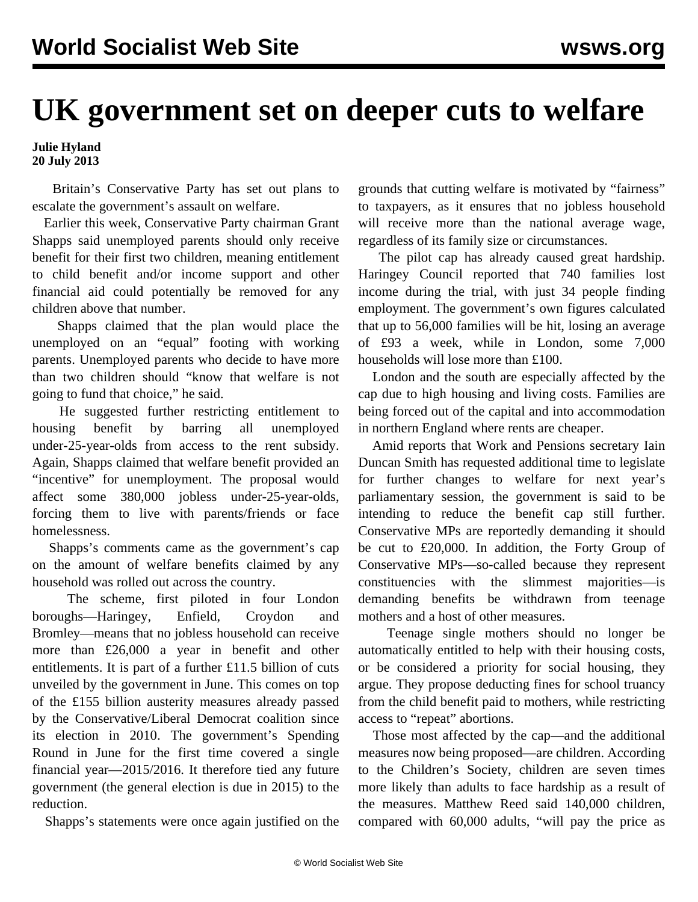## **UK government set on deeper cuts to welfare**

**Julie Hyland 20 July 2013**

 Britain's Conservative Party has set out plans to escalate the government's assault on welfare.

 Earlier this week, Conservative Party chairman Grant Shapps said unemployed parents should only receive benefit for their first two children, meaning entitlement to child benefit and/or income support and other financial aid could potentially be removed for any children above that number.

 Shapps claimed that the plan would place the unemployed on an "equal" footing with working parents. Unemployed parents who decide to have more than two children should "know that welfare is not going to fund that choice," he said.

 He suggested further restricting entitlement to housing benefit by barring all unemployed under-25-year-olds from access to the rent subsidy. Again, Shapps claimed that welfare benefit provided an "incentive" for unemployment. The proposal would affect some 380,000 jobless under-25-year-olds, forcing them to live with parents/friends or face homelessness.

 Shapps's comments came as the government's cap on the amount of welfare benefits claimed by any household was rolled out across the country.

 The scheme, first piloted in four London boroughs—Haringey, Enfield, Croydon and Bromley—means that no jobless household can receive more than £26,000 a year in benefit and other entitlements. It is part of a further £11.5 billion of cuts unveiled by the government in June. This comes on top of the £155 billion austerity measures already passed by the Conservative/Liberal Democrat coalition since its election in 2010. The government's Spending Round in June for the first time covered a single financial year—2015/2016. It therefore tied any future government (the general election is due in 2015) to the reduction.

Shapps's statements were once again justified on the

grounds that cutting welfare is motivated by "fairness" to taxpayers, as it ensures that no jobless household will receive more than the national average wage, regardless of its family size or circumstances.

 The pilot cap has already caused great hardship. Haringey Council reported that 740 families lost income during the trial, with just 34 people finding employment. The government's own figures calculated that up to 56,000 families will be hit, losing an average of £93 a week, while in London, some 7,000 households will lose more than £100.

 London and the south are especially affected by the cap due to high housing and living costs. Families are being forced out of the capital and into accommodation in northern England where rents are cheaper.

 Amid reports that Work and Pensions secretary Iain Duncan Smith has requested additional time to legislate for further changes to welfare for next year's parliamentary session, the government is said to be intending to reduce the benefit cap still further. Conservative MPs are reportedly demanding it should be cut to £20,000. In addition, the Forty Group of Conservative MPs—so-called because they represent constituencies with the slimmest majorities—is demanding benefits be withdrawn from teenage mothers and a host of other measures.

 Teenage single mothers should no longer be automatically entitled to help with their housing costs, or be considered a priority for social housing, they argue. They propose deducting fines for school truancy from the child benefit paid to mothers, while restricting access to "repeat" abortions.

 Those most affected by the cap—and the additional measures now being proposed—are children. According to the Children's Society, children are seven times more likely than adults to face hardship as a result of the measures. Matthew Reed said 140,000 children, compared with 60,000 adults, "will pay the price as